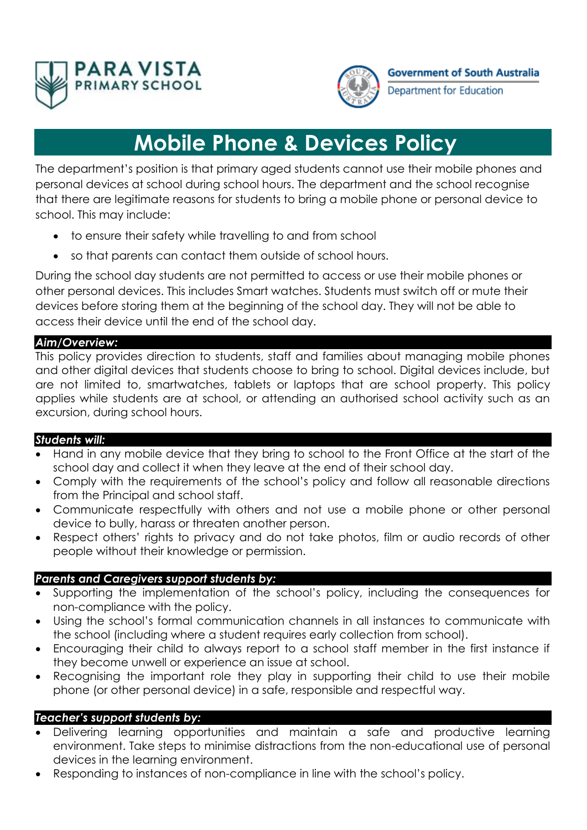



Department for Education

# **Mobile Phone & Devices Policy**

The department's position is that primary aged students cannot use their mobile phones and personal devices at school during school hours. The department and the school recognise that there are legitimate reasons for students to bring a mobile phone or personal device to school. This may include:

- to ensure their safety while travelling to and from school
- so that parents can contact them outside of school hours.

During the school day students are not permitted to access or use their mobile phones or other personal devices. This includes Smart watches. Students must switch off or mute their devices before storing them at the beginning of the school day. They will not be able to access their device until the end of the school day.

## *Aim/Overview:*

This policy provides direction to students, staff and families about managing mobile phones and other digital devices that students choose to bring to school. Digital devices include, but are not limited to, smartwatches, tablets or laptops that are school property. This policy applies while students are at school, or attending an authorised school activity such as an excursion, during school hours.

## *Students will:*

- Hand in any mobile device that they bring to school to the Front Office at the start of the school day and collect it when they leave at the end of their school day.
- Comply with the requirements of the school's policy and follow all reasonable directions from the Principal and school staff.
- Communicate respectfully with others and not use a mobile phone or other personal device to bully, harass or threaten another person.
- Respect others' rights to privacy and do not take photos, film or audio records of other people without their knowledge or permission.

## *Parents and Caregivers support students by:*

- Supporting the implementation of the school's policy, including the consequences for non-compliance with the policy.
- Using the school's formal communication channels in all instances to communicate with the school (including where a student requires early collection from school).
- Encouraging their child to always report to a school staff member in the first instance if they become unwell or experience an issue at school.
- Recognising the important role they play in supporting their child to use their mobile phone (or other personal device) in a safe, responsible and respectful way.

## *Teacher's support students by:*

- Delivering learning opportunities and maintain a safe and productive learning environment. Take steps to minimise distractions from the non-educational use of personal devices in the learning environment.
- Responding to instances of non-compliance in line with the school's policy.